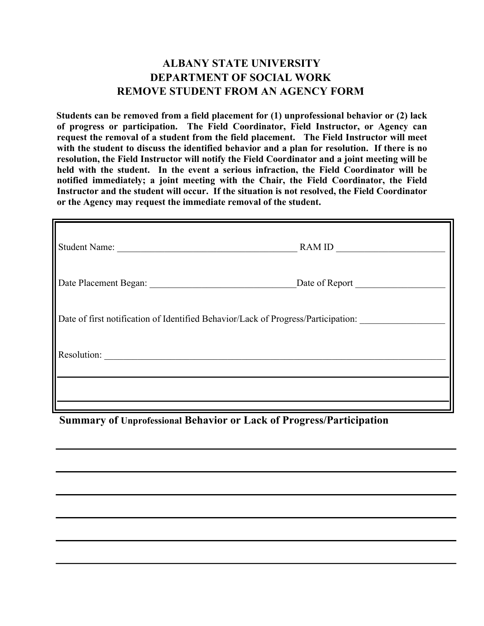## **ALBANY STATE UNIVERSITY DEPARTMENT OF SOCIAL WORK REMOVE STUDENT FROM AN AGENCY FORM**

**Students can be removed from a field placement for (1) unprofessional behavior or (2) lack of progress or participation. The Field Coordinator, Field Instructor, or Agency can request the removal of a student from the field placement. The Field Instructor will meet with the student to discuss the identified behavior and a plan for resolution. If there is no resolution, the Field Instructor will notify the Field Coordinator and a joint meeting will be held with the student. In the event a serious infraction, the Field Coordinator will be notified immediately; a joint meeting with the Chair, the Field Coordinator, the Field Instructor and the student will occur. If the situation is not resolved, the Field Coordinator or the Agency may request the immediate removal of the student.** 

| Student Name:                                                                     | RAM ID         |
|-----------------------------------------------------------------------------------|----------------|
|                                                                                   | Date of Report |
| Date of first notification of Identified Behavior/Lack of Progress/Participation: |                |
| Resolution:                                                                       |                |
|                                                                                   |                |

**Summary of Unprofessional Behavior or Lack of Progress/Participation**